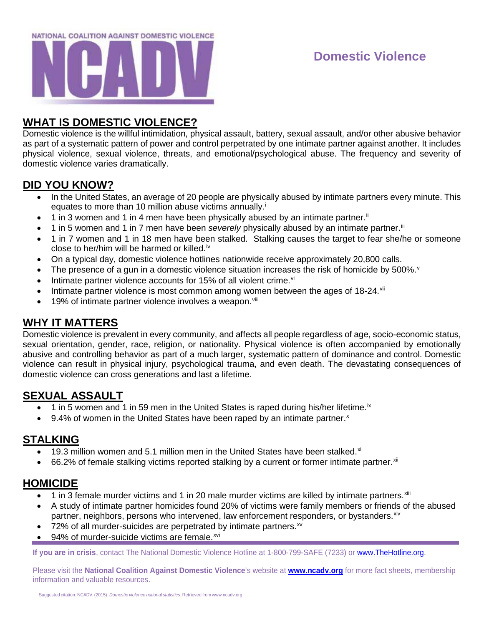

# **Domestic Violence**

## **WHAT IS DOMESTIC VIOLENCE?**

Domestic violence is the willful intimidation, physical assault, battery, sexual assault, and/or other abusive behavior as part of a systematic pattern of power and control perpetrated by one intimate partner against another. It includes physical violence, sexual violence, threats, and emotional/psychological abuse. The frequency and severity of domestic violence varies dramatically.

### **DID YOU KNOW?**

- In the United States, an average of 20 people are physically abused by intimate partners every minute. This equates to more than 10 m[i](#page-1-0)llion abuse victims annually.<sup>i</sup>
- $\bullet$  1 in 3 women and 1 in 4 men have been physically abused by an intimate partner.<sup>[ii](#page-1-1)</sup>
- 1 in 5 women and 1 in 7 men have been *severely* physically abused by an intimate partner.<sup>iii</sup>
- 1 in 7 women and 1 in 18 men have been stalked. Stalking causes the target to fear she/he or someone close to her/him will be harmed or killed.<sup>[iv](#page-1-3)</sup>
- On a typical day, domestic violence hotlines nationwide receive approximately 20,800 calls.
- The presence of a gun in a domestic [v](#page-1-4)iolence situation increases the risk of homicide by 500%. $v$
- Intimate partner [vi](#page-1-5)olence accounts for 15% of all violent crime. $vi$
- Intimate partner violence is most common among women between the ages of  $18-24$ .
- 19% of intimate partner violence involves a weapon.<sup>[viii](#page-1-7)</sup>

## **WHY IT MATTERS**

Domestic violence is prevalent in every community, and affects all people regardless of age, socio-economic status, sexual orientation, gender, race, religion, or nationality. Physical violence is often accompanied by emotionally abusive and controlling behavior as part of a much larger, systematic pattern of dominance and control. Domestic violence can result in physical injury, psychological trauma, and even death. The devastating consequences of domestic violence can cross generations and last a lifetime.

## **SEXUAL ASSAULT**

- $\bullet$  1 in 5 women and 1 in 59 men in the United States is raped during his/her lifetime.<sup>[ix](#page-1-8)</sup>
- 9.4% of women in the United States have been raped by an intimate partner. $x$

#### **STALKING**

- 19.3 million women and 5.1 million men in the United States have been stalked. $x^{i}$
- $\bullet$  66.2% of female stalking victims reported stalking by a current or former intimate partner.  $\frac{x}{10}$

#### **HOMICIDE**

- 1 in 3 female murder victims and 1 in 20 male murder victims are killed by intimate partners. [xiii](#page-1-12)
- A study of intimate partner homicides found 20% of victims were family members or friends of the abused partner, neighbors, persons who intervened, law enforcement responders, or bystanders. [xiv](#page-1-13)
- 72% of all murder-suicides are perpetrated by intimate partners. $x<sup>w</sup>$
- 94% of murder-suicide victims are female.<sup>[xvi](#page-1-15)</sup>

**If you are in crisis**, contact The National Domestic Violence Hotline at 1-800-799-SAFE (7233) or [www.TheHotline.org.](http://www.thehotline.org/)

Please visit the **National Coalition Against Domestic Violence**'s website at **[www.ncadv.org](http://www.ncadv.org/)** for more fact sheets, membership information and valuable resources.

Suggested citation: NCADV. (2015). *Domestic violence national statistics*. Retrieved from [www.ncadv.org](http://www.ncadv.org/)